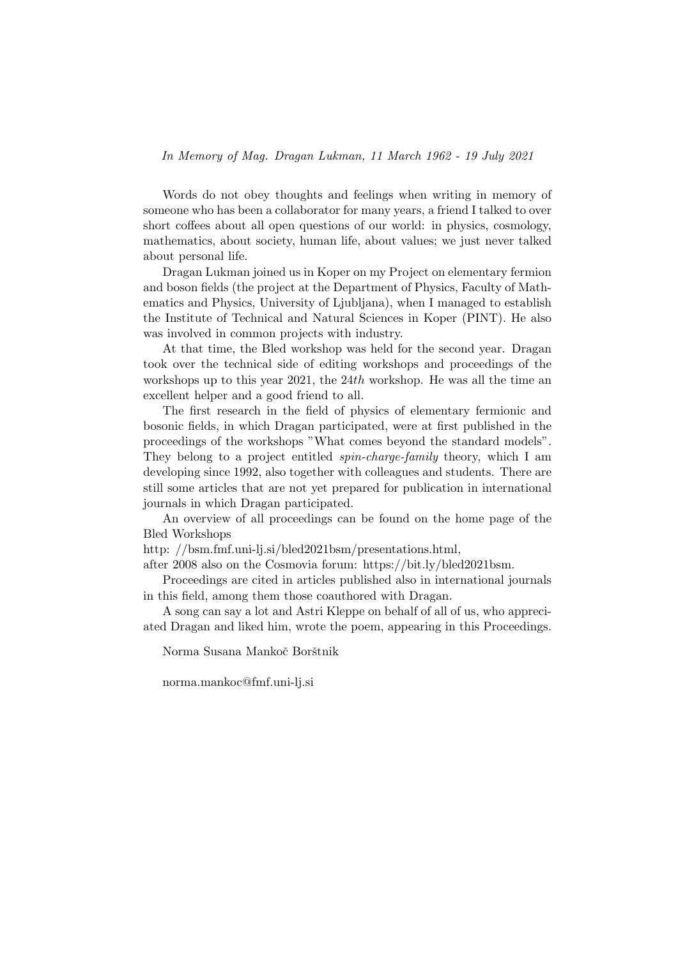Words do not obey thoughts and feelings when writing in memory of someone who has been a collaborator for many years, a friend I talked to over short coffees about all open questions of our world: in physics, cosmology, mathematics, about society, human life, about values; we just never talked about personal life.

Dragan Lukman joined us in Koper on my Project on elementary fermion and boson fields (the project at the Department of Physics, Faculty of Mathematics and Physics, University of Ljubljana), when I managed to establish the Institute of Technical and Natural Sciences in Koper (PINT). He also was involved in common projects with industry.

At that time, the Bled workshop was held for the second year. Dragan took over the technical side of editing workshops and proceedings of the workshops up to this year 2021, the 24th workshop. He was all the time an excellent helper and a good friend to all.

The first research in the field of physics of elementary fermionic and bosonic fields, in which Dragan participated, were at first published in the proceedings of the workshops "What comes beyond the standard models". They belong to a project entitled *spin-charge-family* theory, which I am developing since 1992, also together with colleagues and students. There are still some articles that are not yet prepared for publication in international journals in which Dragan participated.

An overview of all proceedings can be found on the home page of the Bled Workshops

http: //bsm.fmf.uni-lj.si/bled2021bsm/presentations.html,

after 2008 also on the Cosmovia forum: https://bit.ly/bled2021bsm.

Proceedings are cited in articles published also in international journals in this field, among them those coauthored with Dragan.

A song can say a lot and Astri Kleppe on behalf of all of us, who appreciated Dragan and liked him, wrote the poem, appearing in this Proceedings.

Norma Susana Mankoč Borštnik

norma.mankoc@fmf.uni-lj.si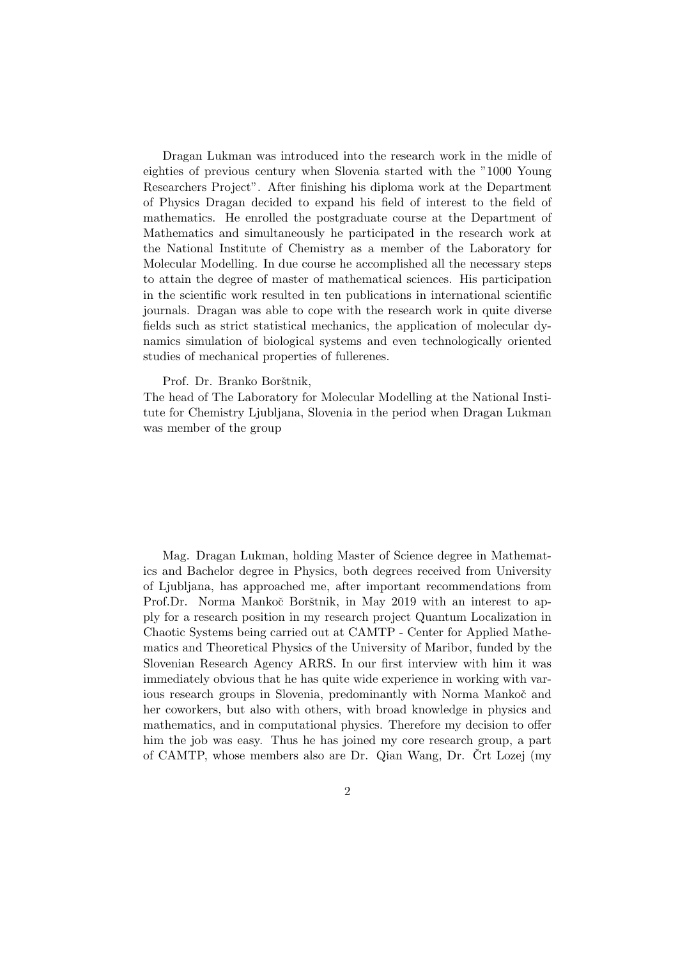Dragan Lukman was introduced into the research work in the midle of eighties of previous century when Slovenia started with the "1000 Young Researchers Project". After finishing his diploma work at the Department of Physics Dragan decided to expand his field of interest to the field of mathematics. He enrolled the postgraduate course at the Department of Mathematics and simultaneously he participated in the research work at the National Institute of Chemistry as a member of the Laboratory for Molecular Modelling. In due course he accomplished all the necessary steps to attain the degree of master of mathematical sciences. His participation in the scientific work resulted in ten publications in international scientific journals. Dragan was able to cope with the research work in quite diverse fields such as strict statistical mechanics, the application of molecular dynamics simulation of biological systems and even technologically oriented studies of mechanical properties of fullerenes.

## Prof. Dr. Branko Borštnik,

The head of The Laboratory for Molecular Modelling at the National Institute for Chemistry Ljubljana, Slovenia in the period when Dragan Lukman was member of the group

Mag. Dragan Lukman, holding Master of Science degree in Mathematics and Bachelor degree in Physics, both degrees received from University of Ljubljana, has approached me, after important recommendations from Prof.Dr. Norma Mankoč Borštnik, in May 2019 with an interest to apply for a research position in my research project Quantum Localization in Chaotic Systems being carried out at CAMTP - Center for Applied Mathematics and Theoretical Physics of the University of Maribor, funded by the Slovenian Research Agency ARRS. In our first interview with him it was immediately obvious that he has quite wide experience in working with various research groups in Slovenia, predominantly with Norma Mankoč and her coworkers, but also with others, with broad knowledge in physics and mathematics, and in computational physics. Therefore my decision to offer him the job was easy. Thus he has joined my core research group, a part of CAMTP, whose members also are Dr. Qian Wang, Dr. Crt Lozej (my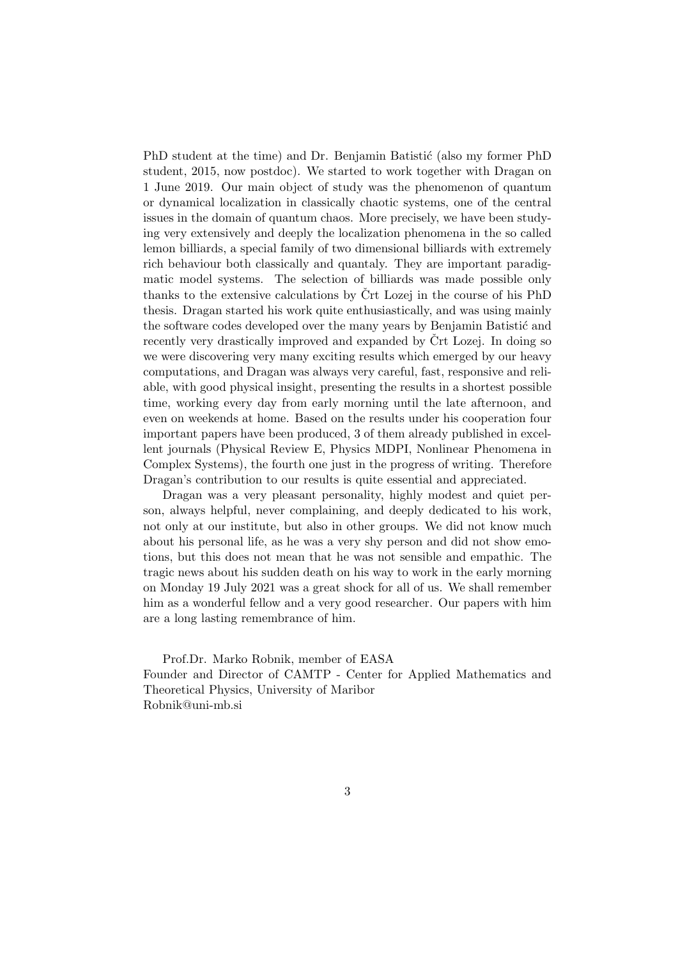PhD student at the time) and Dr. Benjamin Batistić (also my former PhD student, 2015, now postdoc). We started to work together with Dragan on 1 June 2019. Our main object of study was the phenomenon of quantum or dynamical localization in classically chaotic systems, one of the central issues in the domain of quantum chaos. More precisely, we have been studying very extensively and deeply the localization phenomena in the so called lemon billiards, a special family of two dimensional billiards with extremely rich behaviour both classically and quantaly. They are important paradigmatic model systems. The selection of billiards was made possible only thanks to the extensive calculations by  $\text{Crt}$  Lozej in the course of his PhD thesis. Dragan started his work quite enthusiastically, and was using mainly the software codes developed over the many years by Benjamin Batistić and recently very drastically improved and expanded by  $\text{Crt}$  Lozej. In doing so we were discovering very many exciting results which emerged by our heavy computations, and Dragan was always very careful, fast, responsive and reliable, with good physical insight, presenting the results in a shortest possible time, working every day from early morning until the late afternoon, and even on weekends at home. Based on the results under his cooperation four important papers have been produced, 3 of them already published in excellent journals (Physical Review E, Physics MDPI, Nonlinear Phenomena in Complex Systems), the fourth one just in the progress of writing. Therefore Dragan's contribution to our results is quite essential and appreciated.

Dragan was a very pleasant personality, highly modest and quiet person, always helpful, never complaining, and deeply dedicated to his work, not only at our institute, but also in other groups. We did not know much about his personal life, as he was a very shy person and did not show emotions, but this does not mean that he was not sensible and empathic. The tragic news about his sudden death on his way to work in the early morning on Monday 19 July 2021 was a great shock for all of us. We shall remember him as a wonderful fellow and a very good researcher. Our papers with him are a long lasting remembrance of him.

Prof.Dr. Marko Robnik, member of EASA Founder and Director of CAMTP - Center for Applied Mathematics and Theoretical Physics, University of Maribor Robnik@uni-mb.si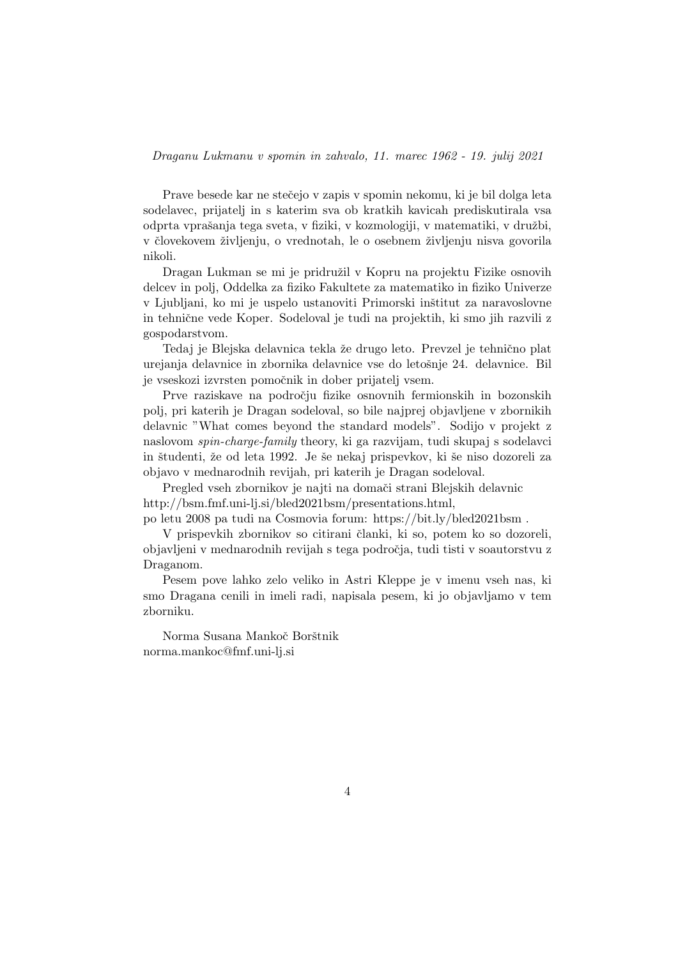Prave besede kar ne stečejo v zapis v spomin nekomu, ki je bil dolga leta sodelavec, prijatelj in s katerim sva ob kratkih kavicah prediskutirala vsa odprta vpraˇsanja tega sveta, v fiziki, v kozmologiji, v matematiki, v druˇzbi, v človekovem življenju, o vrednotah, le o osebnem življenju nisva govorila nikoli.

Dragan Lukman se mi je pridružil v Kopru na projektu Fizike osnovih delcev in polj, Oddelka za fiziko Fakultete za matematiko in fiziko Univerze v Ljubljani, ko mi je uspelo ustanoviti Primorski inštitut za naravoslovne in tehnične vede Koper. Sodeloval je tudi na projektih, ki smo jih razvili z gospodarstvom.

Tedaj je Blejska delavnica tekla že drugo leto. Prevzel je tehnično plat urejanja delavnice in zbornika delavnice vse do letošnje 24. delavnice. Bil je vseskozi izvrsten pomočnik in dober prijatelj vsem.

Prve raziskave na področju fizike osnovnih fermionskih in bozonskih polj, pri katerih je Dragan sodeloval, so bile najprej objavljene v zbornikih delavnic "What comes beyond the standard models". Sodijo v projekt z naslovom spin-charge-family theory, ki ga razvijam, tudi skupaj s sodelavci in študenti, že od leta 1992. Je še nekaj prispevkov, ki še niso dozoreli za objavo v mednarodnih revijah, pri katerih je Dragan sodeloval.

Pregled vseh zbornikov je najti na domači strani Blejskih delavnic http://bsm.fmf.uni-lj.si/bled2021bsm/presentations.html,

po letu 2008 pa tudi na Cosmovia forum: https://bit.ly/bled2021bsm .

V prispevkih zbornikov so citirani članki, ki so, potem ko so dozoreli, objavljeni v mednarodnih revijah s tega področja, tudi tisti v soautorstvu z Draganom.

Pesem pove lahko zelo veliko in Astri Kleppe je v imenu vseh nas, ki smo Dragana cenili in imeli radi, napisala pesem, ki jo objavljamo v tem zborniku.

Norma Susana Mankoč Borštnik norma.mankoc@fmf.uni-lj.si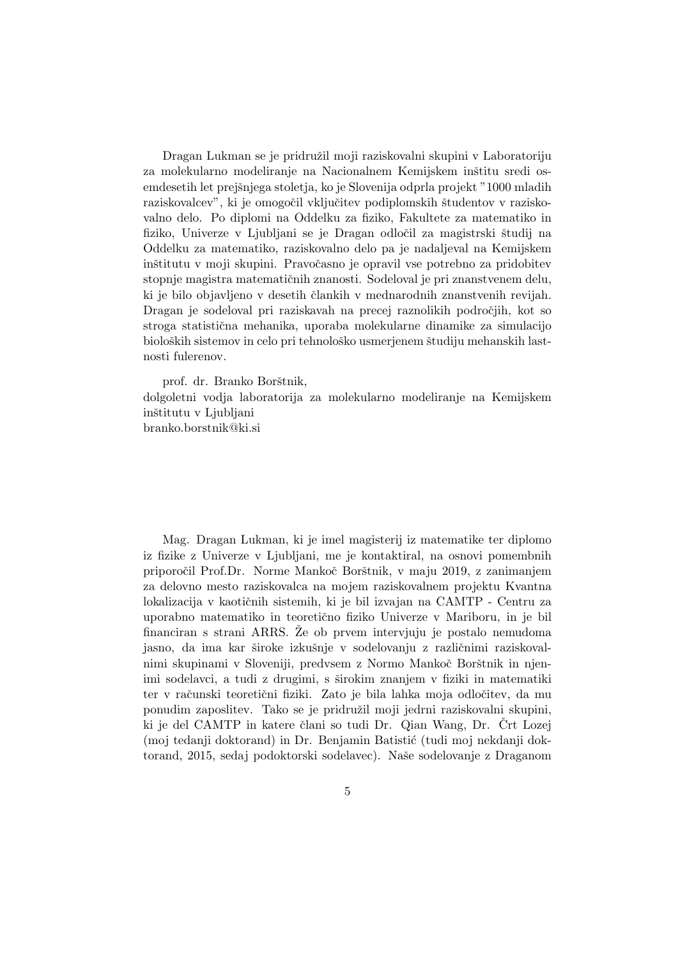Dragan Lukman se je pridružil moji raziskovalni skupini v Laboratoriju za molekularno modeliranje na Nacionalnem Kemijskem inštitu sredi osemdesetih let prejšnjega stoletja, ko je Slovenija odprla projekt "1000 mladih raziskovalcev", ki je omogočil vključitev podiplomskih študentov v raziskovalno delo. Po diplomi na Oddelku za fiziko, Fakultete za matematiko in fiziko, Univerze v Ljubljani se je Dragan odločil za magistrski študij na Oddelku za matematiko, raziskovalno delo pa je nadaljeval na Kemijskem inštitutu v moji skupini. Pravočasno je opravil vse potrebno za pridobitev stopnje magistra matematičnih znanosti. Sodeloval je pri znanstvenem delu, ki je bilo objavljeno v desetih člankih v mednarodnih znanstvenih revijah. Dragan je sodeloval pri raziskavah na precej raznolikih področjih, kot so stroga statistična mehanika, uporaba molekularne dinamike za simulacijo bioloških sistemov in celo pri tehnološko usmerjenem študiju mehanskih lastnosti fulerenov.

prof. dr. Branko Borštnik, dolgoletni vodja laboratorija za molekularno modeliranje na Kemijskem inštitutu v Ljubljani branko.borstnik@ki.si

Mag. Dragan Lukman, ki je imel magisterij iz matematike ter diplomo iz fizike z Univerze v Ljubljani, me je kontaktiral, na osnovi pomembnih priporočil Prof.Dr. Norme Mankoč Borštnik, v maju 2019, z zanimanjem za delovno mesto raziskovalca na mojem raziskovalnem projektu Kvantna lokalizacija v kaotičnih sistemih, ki je bil izvajan na CAMTP - Centru za uporabno matematiko in teoretično fiziko Univerze v Mariboru, in je bil financiran s strani ARRS. Že ob prvem intervjuju je postalo nemudoma jasno, da ima kar široke izkušnje v sodelovanju z različnimi raziskovalnimi skupinami v Sloveniji, predvsem z Normo Mankoč Borštnik in njenimi sodelavci, a tudi z drugimi, s širokim znanjem v fiziki in matematiki ter v računski teoretični fiziki. Zato je bila lahka moja odločitev, da mu ponudim zaposlitev. Tako se je pridružil moji jedrni raziskovalni skupini, ki je del CAMTP in katere člani so tudi Dr. Qian Wang, Dr. Crt Lozej (moj tedanji doktorand) in Dr. Benjamin Batistić (tudi moj nekdanji doktorand, 2015, sedaj podoktorski sodelavec). Naše sodelovanje z Draganom